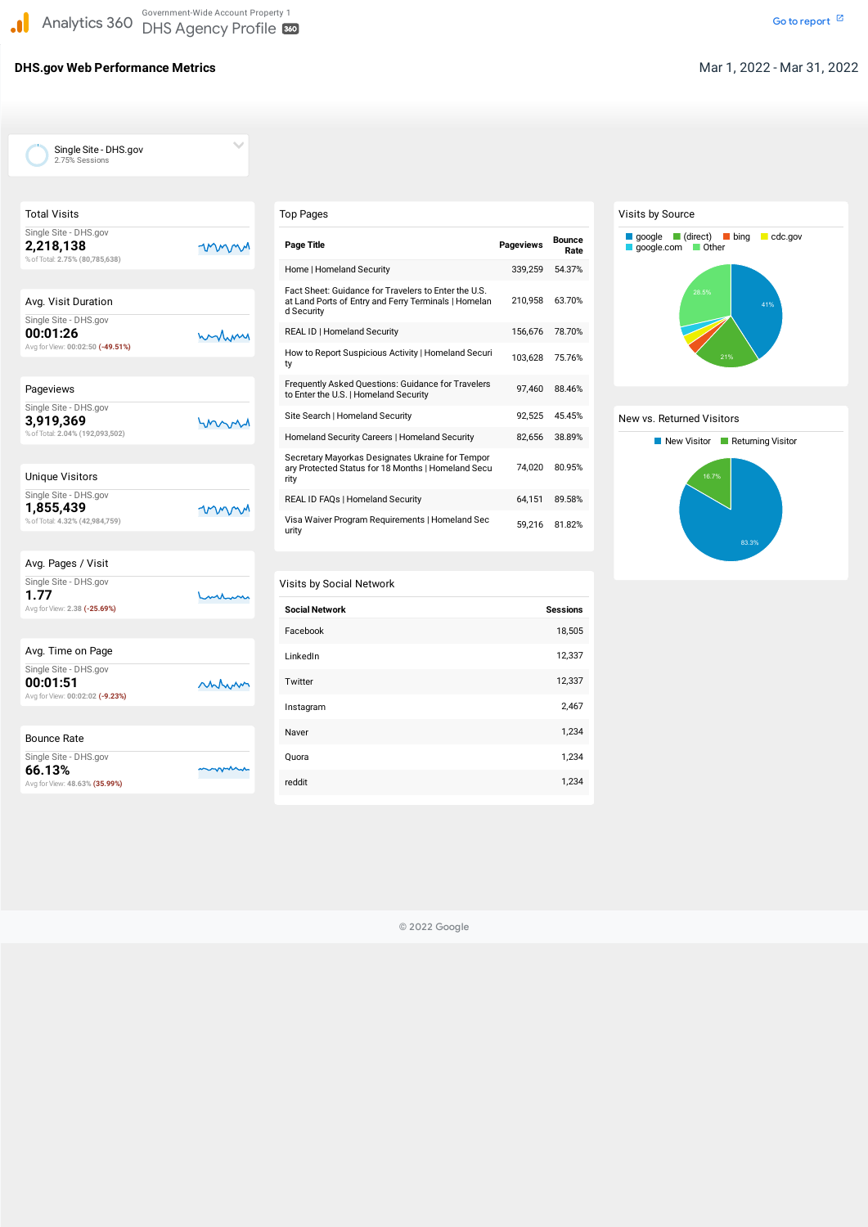$\sim$ 

# **DHS.gov Web Performance Metrics** Mar 1, 2022 - Mar 31, 2022

Avg forView: **48.63% (35.99%)**

| <b>Total Visits</b>                                                   |  |
|-----------------------------------------------------------------------|--|
| Single Site - DHS.gov<br>2,218,138<br>% of Total: 2.75% (80,785,638)  |  |
|                                                                       |  |
| Avg. Visit Duration                                                   |  |
| Single Site - DHS.gov<br>00:01:26<br>Avg for View: 00:02:50 (-49.51%) |  |
|                                                                       |  |
| Pageviews                                                             |  |
| Single Site - DHS.gov<br>3,919,369<br>% of Total: 2.04% (192,093,502) |  |
|                                                                       |  |
| <b>Unique Visitors</b>                                                |  |
| Single Site - DHS.gov<br>1,855,439<br>% of Total: 4.32% (42,984,759)  |  |
|                                                                       |  |
| Avg. Pages / Visit                                                    |  |
| Single Site - DHS.gov<br>1.77<br>Avg for View: 2.38 (-25.69%)         |  |
|                                                                       |  |
| Avg. Time on Page                                                     |  |
| Single Site - DHS.gov<br>00:01:51<br>Avg for View: 00:02:02 (-9.23%)  |  |
|                                                                       |  |
| <b>Bounce Rate</b>                                                    |  |
| Single Site - DHS.gov<br>66.13%                                       |  |

| <b>Top Pages</b>                                                                                                           |                  |                       |
|----------------------------------------------------------------------------------------------------------------------------|------------------|-----------------------|
| <b>Page Title</b>                                                                                                          | <b>Pageviews</b> | <b>Bounce</b><br>Rate |
| Home   Homeland Security                                                                                                   | 339.259          | 54.37%                |
| Fact Sheet: Guidance for Travelers to Enter the U.S.<br>at Land Ports of Entry and Ferry Terminals   Homelan<br>d Security | 210,958          | 63.70%                |
| <b>REAL ID   Homeland Security</b>                                                                                         | 156,676          | 78.70%                |
| How to Report Suspicious Activity   Homeland Securi<br>ty                                                                  | 103,628          | 75.76%                |
| <b>Frequently Asked Questions: Guidance for Travelers</b><br>to Enter the U.S.   Homeland Security                         | 97,460           | 88.46%                |
| Site Search   Homeland Security                                                                                            | 92,525           | 45.45%                |
| Homeland Security Careers   Homeland Security                                                                              | 82.656           | 38.89%                |
| Secretary Mayorkas Designates Ukraine for Tempor<br>ary Protected Status for 18 Months   Homeland Secu<br>rity             | 74,020           | 80.95%                |
| REAL ID FAQs   Homeland Security                                                                                           | 64,151           | 89.58%                |
| Visa Waiver Program Requirements   Homeland Sec<br>urity                                                                   | 59.216           | 81.82%                |

# Visits by Social Network

#### Visits by Source

#### New vs. Returned Visitors

 Single Site - DHS.gov 2.75% Sessions

© 2022 Google

| <b>Social Network</b> | <b>Sessions</b> |
|-----------------------|-----------------|
| Facebook              | 18,505          |
| LinkedIn              | 12,337          |
| Twitter               | 12,337          |
| Instagram             | 2,467           |
| Naver                 | 1,234           |
| Quora                 | 1,234           |
| reddit                | 1,234           |



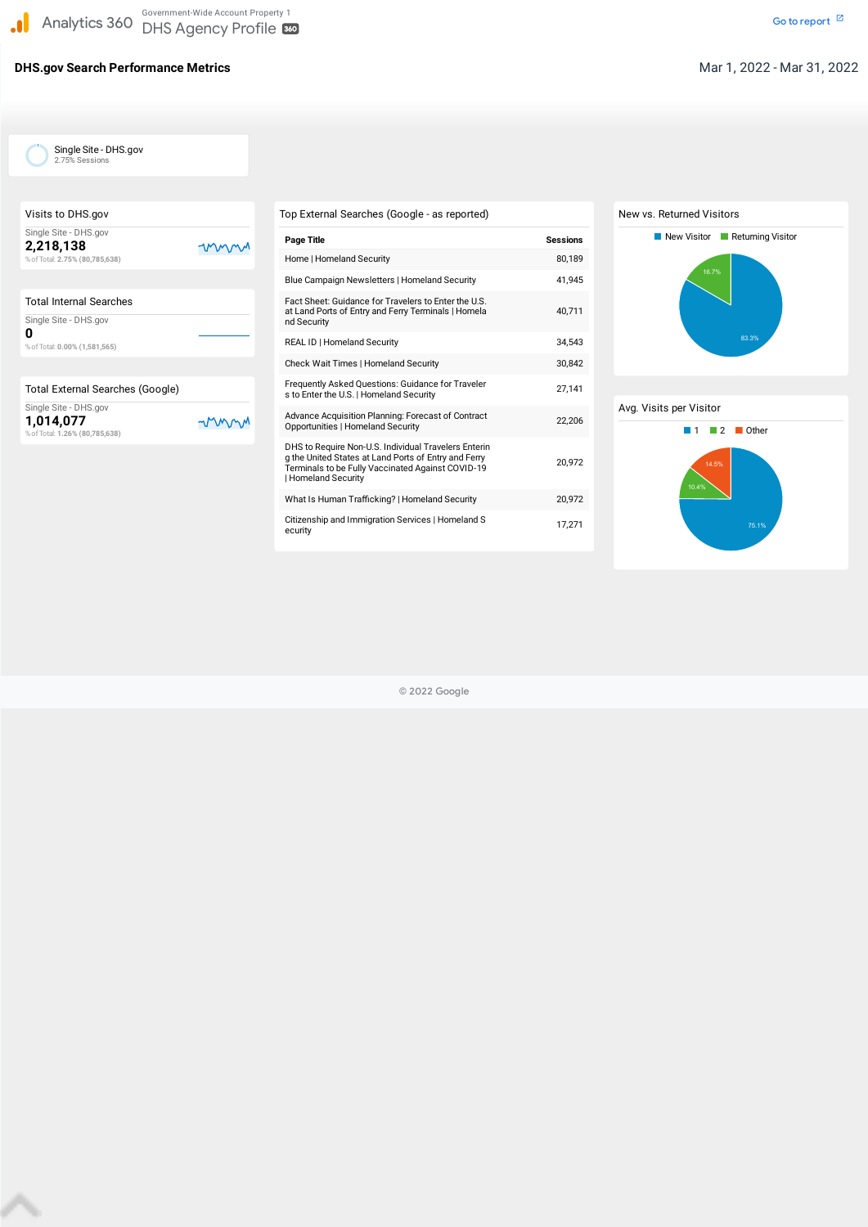Single Site - DHS.gov 2.75% Sessions

| Visits to DHS.gov                                                    | Top External Searches (Google - as reported)                                                                 |
|----------------------------------------------------------------------|--------------------------------------------------------------------------------------------------------------|
| Single Site - DHS.gov<br>2,218,138                                   | <b>Page Title</b>                                                                                            |
| % of Total: 2.75% (80,785,638)                                       | Home   Homeland Security                                                                                     |
|                                                                      | Blue Campaign Newsletters   Homeland Security                                                                |
| <b>Total Internal Searches</b>                                       | Fact Sheet: Guidance for Travelers to Enter the U.S.<br>at Land Ports of Entry and Ferry Terminals   Homela  |
| Single Site - DHS.gov                                                | nd Security                                                                                                  |
| 0<br>% of Total: 0.00% (1,581,565)                                   | <b>REAL ID   Homeland Security</b>                                                                           |
|                                                                      | <b>Check Wait Times   Homeland Security</b>                                                                  |
| Total External Searches (Google)                                     | <b>Frequently Asked Questions: Guidance for Traveler</b><br>s to Enter the U.S.   Homeland Security          |
| Single Site - DHS.gov<br>1,014,077<br>% of Total: 1.26% (80,785,638) | Advance Acquisition Planning: Forecast of Contract<br><b>Opportunities   Homeland Security</b>               |
|                                                                      | DHS to Require Non-U.S. Individual Travelers Enterir<br>g the United States at Land Ports of Entry and Ferry |

| Visits to DHS.gov                                                    | Top External Searches (Google - as reported)                                                                                                                                                  |                 |
|----------------------------------------------------------------------|-----------------------------------------------------------------------------------------------------------------------------------------------------------------------------------------------|-----------------|
| Single Site - DHS.gov<br>2,218,138                                   | <b>Page Title</b>                                                                                                                                                                             | <b>Sessions</b> |
| % of Total: 2.75% (80,785,638)                                       | Home   Homeland Security                                                                                                                                                                      | 80,189          |
|                                                                      | Blue Campaign Newsletters   Homeland Security                                                                                                                                                 | 41,945          |
| <b>Total Internal Searches</b><br>Single Site - DHS.gov              | Fact Sheet: Guidance for Travelers to Enter the U.S.<br>at Land Ports of Entry and Ferry Terminals   Homela<br>nd Security                                                                    | 40,711          |
| 0<br>% of Total: 0.00% (1,581,565)                                   | REAL ID   Homeland Security                                                                                                                                                                   | 34,543          |
|                                                                      | Check Wait Times   Homeland Security                                                                                                                                                          | 30,842          |
| Total External Searches (Google)                                     | Frequently Asked Questions: Guidance for Traveler<br>s to Enter the U.S.   Homeland Security                                                                                                  | 27,141          |
| Single Site - DHS.gov<br>1,014,077<br>% of Total: 1.26% (80,785,638) | Advance Acquisition Planning: Forecast of Contract<br><b>Opportunities   Homeland Security</b>                                                                                                | 22,206          |
|                                                                      | DHS to Require Non-U.S. Individual Travelers Enterin<br>g the United States at Land Ports of Entry and Ferry<br>Terminals to be Fully Vaccinated Against COVID-19<br><b>Homeland Security</b> | 20,972          |
|                                                                      | What Is Human Trafficking?   Homeland Security                                                                                                                                                | 20,972          |
|                                                                      | Citizenship and Immigration Services   Homeland S<br>ecurity                                                                                                                                  | 17,271          |





# **DHS.gov Search Performance Metrics** Mar 1, 2022 - Mar 31, 2022

© 2022 Google

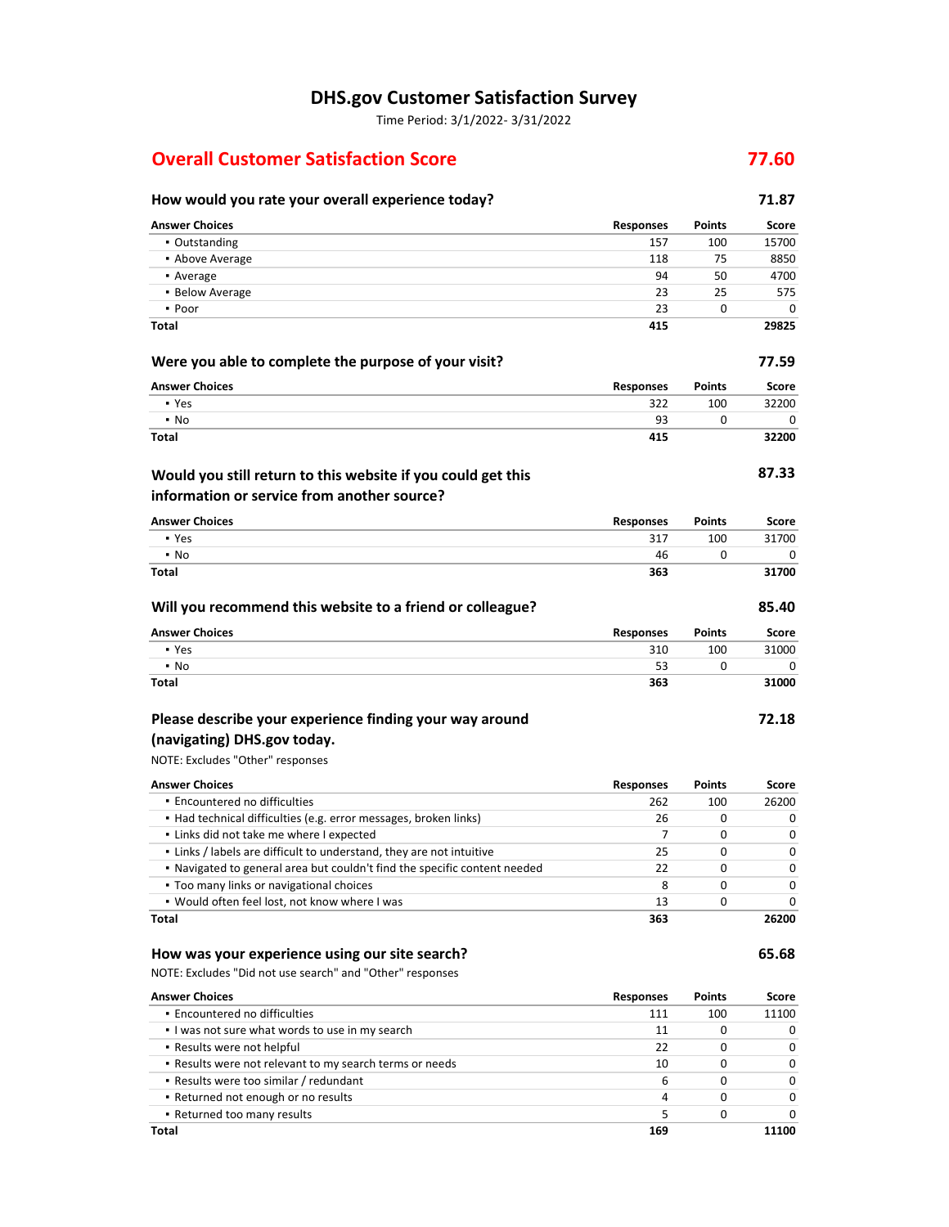# DHS.gov Customer Satisfaction Survey

Time Period: 3/1/2022- 3/31/2022

### **Overall Customer Satisfaction Score** 77.60

# How would you rate your overall experience today? The matrix of the matrix of the value of the value of the value of the value of the value of the value of the value of the value of the value of the value of the value of t

| <b>Answer Choices</b>                                                                                       | <b>Responses</b> | <b>Points</b> | Score |
|-------------------------------------------------------------------------------------------------------------|------------------|---------------|-------|
| • Outstanding                                                                                               | 157              | 100           | 15700 |
| • Above Average                                                                                             | 118              | 75            | 8850  |
| • Average                                                                                                   | 94               | 50            | 4700  |
| • Below Average                                                                                             | 23               | 25            | 575   |
| • Poor                                                                                                      | 23               | 0             | 0     |
| <b>Total</b>                                                                                                | 415              |               | 29825 |
| Were you able to complete the purpose of your visit?                                                        |                  |               | 77.59 |
| <b>Answer Choices</b>                                                                                       | <b>Responses</b> | <b>Points</b> | Score |
| • Yes                                                                                                       | 322              | 100           | 32200 |
| $\cdot$ No                                                                                                  | 93               | 0             | 0     |
| <b>Total</b>                                                                                                | 415              |               | 32200 |
| Would you still return to this website if you could get this<br>information or service from another source? |                  |               | 87.33 |
| <b>Answer Choices</b>                                                                                       | <b>Responses</b> | <b>Points</b> | Score |
| • Yes                                                                                                       | 317              | 100           | 31700 |
| $\cdot$ No                                                                                                  | 46               | 0             | 0     |
| <b>Total</b>                                                                                                | 363              |               | 31700 |
| Will you recommend this website to a friend or colleague?                                                   |                  |               | 85.40 |
| <b>Answer Choices</b>                                                                                       | <b>Responses</b> | <b>Points</b> | Score |
| • Yes                                                                                                       | 310              | 100           | 31000 |
| $\cdot$ No                                                                                                  | 53               | 0             | 0     |
| <b>Total</b>                                                                                                | 363              |               | 31000 |
| Please describe your experience finding your way around                                                     |                  |               | 72.18 |
|                                                                                                             |                  |               |       |
| (navigating) DHS.gov today.                                                                                 |                  |               |       |

Answer Choices Responses Points Score

| Aliswei Chulces                                                           | <b>RESPOISES</b> | rumus | <b>SLUIT</b> |
|---------------------------------------------------------------------------|------------------|-------|--------------|
| • Encountered no difficulties                                             | 262              | 100   | 26200        |
| • Had technical difficulties (e.g. error messages, broken links)          | 26               | O     |              |
| . Links did not take me where I expected                                  |                  | O     | $\Omega$     |
| . Links / labels are difficult to understand, they are not intuitive      | 25               | 0     | <sup>0</sup> |
| . Navigated to general area but couldn't find the specific content needed | 22               |       | <sup>n</sup> |
| • Too many links or navigational choices                                  | 8                | 0     | <sup>n</sup> |
| . Would often feel lost, not know where I was                             | 13               | O     |              |
| Total                                                                     | 363              |       | 26200        |

#### How was your experience using our site search? 65.68

NOTE: Excludes "Did not use search" and "Other" responses

| <b>Answer Choices</b>                                   | <b>Responses</b> | <b>Points</b> | Score        |
|---------------------------------------------------------|------------------|---------------|--------------|
| • Encountered no difficulties                           | 111              | 100           | 11100        |
| I was not sure what words to use in my search           | 11               | 0             | 0            |
| • Results were not helpful                              | 22               | 0             | 0            |
| . Results were not relevant to my search terms or needs | 10               | 0             | 0            |
| • Results were too similar / redundant                  | 6                | 0             | 0            |
| • Returned not enough or no results                     | 4                | 0             | <sup>0</sup> |
| • Returned too many results                             |                  | 0             | ŋ            |
| Total                                                   | 169              |               | 11100        |